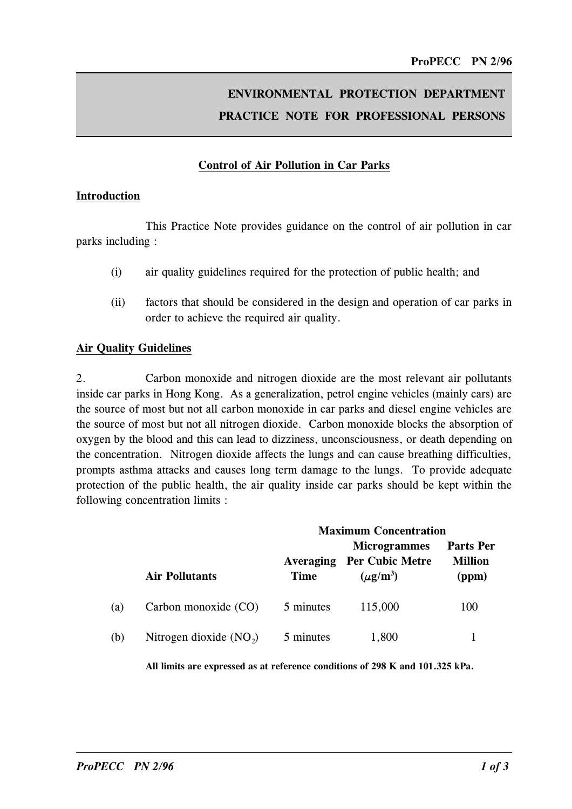# ENVIRONMENTAL PROTECTION DEPARTMENT PRACTICE NOTE FOR PROFESSIONAL PERSONS

### Control of Air Pollution in Car Parks

#### Introduction

This Practice Note provides guidance on the control of air pollution in car parks including :

- (i) air quality guidelines required for the protection of public health; and
- (ii) factors that should be considered in the design and operation of car parks in order to achieve the required air quality.

#### Air Quality Guidelines

2. Carbon monoxide and nitrogen dioxide are the most relevant air pollutants inside car parks in Hong Kong. As a generalization, petrol engine vehicles (mainly cars) are the source of most but not all carbon monoxide in car parks and diesel engine vehicles are the source of most but not all nitrogen dioxide. Carbon monoxide blocks the absorption of oxygen by the blood and this can lead to dizziness, unconsciousness, or death depending on the concentration. Nitrogen dioxide affects the lungs and can cause breathing difficulties, prompts asthma attacks and causes long term damage to the lungs. To provide adequate protection of the public health, the air quality inside car parks should be kept within the following concentration limits :

|     |                          | <b>Maximum Concentration</b> |                                                                                   |                                             |
|-----|--------------------------|------------------------------|-----------------------------------------------------------------------------------|---------------------------------------------|
|     | <b>Air Pollutants</b>    | <b>Time</b>                  | <b>Microgrammes</b><br><b>Averaging Per Cubic Metre</b><br>$(\mu \mathbf{g/m}^3)$ | <b>Parts Per</b><br><b>Million</b><br>(ppm) |
| (a) | Carbon monoxide (CO)     | 5 minutes                    | 115,000                                                                           | 100                                         |
| (b) | Nitrogen dioxide $(NO2)$ | 5 minutes                    | 1,800                                                                             |                                             |

All limits are expressed as at reference conditions of 298 K and 101.325 kPa.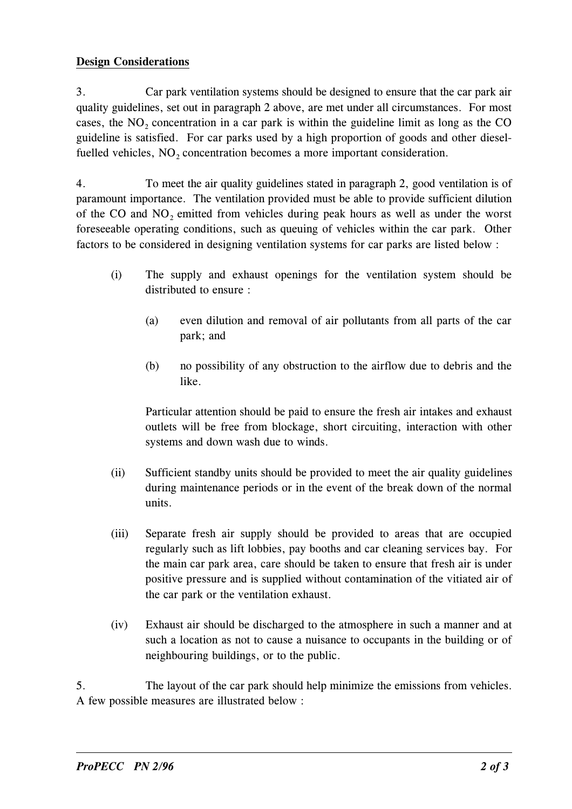#### Design Considerations

3. Car park ventilation systems should be designed to ensure that the car park air quality guidelines, set out in paragraph 2 above, are met under all circumstances. For most cases, the  $NO<sub>2</sub>$  concentration in a car park is within the guideline limit as long as the CO guideline is satisfied. For car parks used by a high proportion of goods and other dieselfuelled vehicles, NO<sub>2</sub> concentration becomes a more important consideration.

4. To meet the air quality guidelines stated in paragraph 2, good ventilation is of paramount importance. The ventilation provided must be able to provide sufficient dilution of the CO and NO<sub>2</sub> emitted from vehicles during peak hours as well as under the worst foreseeable operating conditions, such as queuing of vehicles within the car park. Other factors to be considered in designing ventilation systems for car parks are listed below :

- (i) The supply and exhaust openings for the ventilation system should be distributed to ensure :
	- (a) even dilution and removal of air pollutants from all parts of the car park; and
	- (b) no possibility of any obstruction to the airflow due to debris and the like.

Particular attention should be paid to ensure the fresh air intakes and exhaust outlets will be free from blockage, short circuiting, interaction with other systems and down wash due to winds.

- (ii) Sufficient standby units should be provided to meet the air quality guidelines during maintenance periods or in the event of the break down of the normal units.
- (iii) Separate fresh air supply should be provided to areas that are occupied regularly such as lift lobbies, pay booths and car cleaning services bay. For the main car park area, care should be taken to ensure that fresh air is under positive pressure and is supplied without contamination of the vitiated air of the car park or the ventilation exhaust.
- (iv) Exhaust air should be discharged to the atmosphere in such a manner and at such a location as not to cause a nuisance to occupants in the building or of neighbouring buildings, or to the public.

5. The layout of the car park should help minimize the emissions from vehicles. A few possible measures are illustrated below :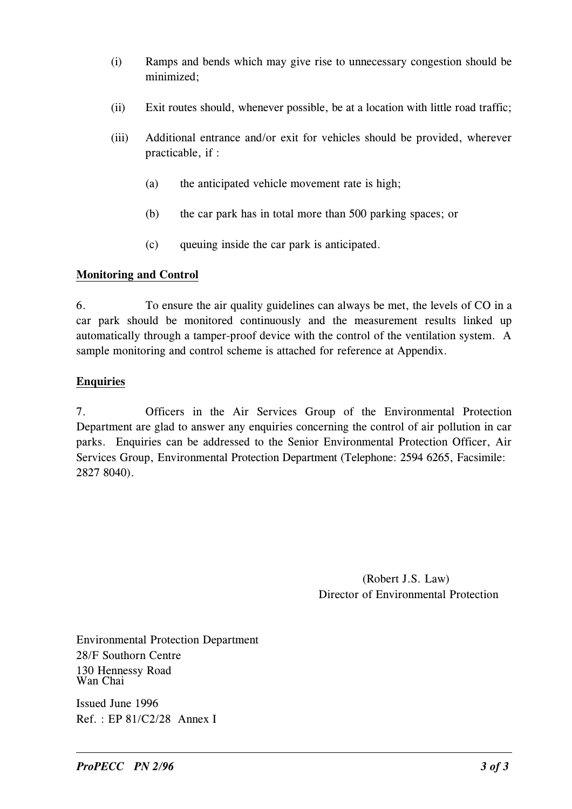- (i) Ramps and bends which may give rise to unnecessary congestion should be minimized;
- (ii) Exit routes should, whenever possible, be at a location with little road traffic;
- (iii) Additional entrance and/or exit for vehicles should be provided, wherever practicable, if :
	- (a) the anticipated vehicle movement rate is high;
	- (b) the car park has in total more than 500 parking spaces; or
	- (c) queuing inside the car park is anticipated.

## Monitoring and Control

6. To ensure the air quality guidelines can always be met, the levels of CO in a car park should be monitored continuously and the measurement results linked up automatically through a tamper-proof device with the control of the ventilation system. A sample monitoring and control scheme is attached for reference at Appendix.

## Enquiries

7. Officers in the Air Services Group of the Environmental Protection Department are glad to answer any enquiries concerning the control of air pollution in car parks. Enquiries can be addressed to the Senior Environmental Protection Officer, Air Services Group, Environmental Protection Department (Telephone: 2594 6265, Facsimile: 2827 8040).

> (Robert J.S. Law) Director of Environmental Protection

Environmental Protection Department 28/F Southorn Centre 130 Hennessy Road Wan Chai

Issued June 1996 Ref. : EP 81/C2/28 Annex I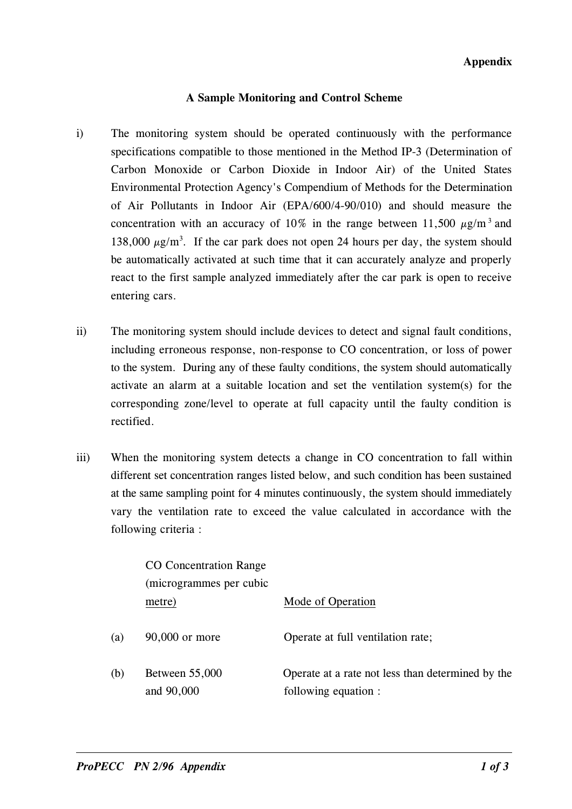Appendix

#### A Sample Monitoring and Control Scheme

- i) The monitoring system should be operated continuously with the performance specifications compatible to those mentioned in the Method IP-3 (Determination of Carbon Monoxide or Carbon Dioxide in Indoor Air) of the United States Environmental Protection Agency's Compendium of Methods for the Determination of Air Pollutants in Indoor Air (EPA/600/490/010) and should measure the concentration with an accuracy of 10% in the range between 11,500  $\mu$ g/m<sup>3</sup> and 138,000  $\mu$ g/m<sup>3</sup>. If the car park does not open 24 hours per day, the system should be automatically activated at such time that it can accurately analyze and properly react to the first sample analyzed immediately after the car park is open to receive entering cars.
- ii) The monitoring system should include devices to detect and signal fault conditions, including erroneous response, non-response to CO concentration, or loss of power to the system. During any of these faulty conditions, the system should automatically activate an alarm at a suitable location and set the ventilation system(s) for the corresponding zone/level to operate at full capacity until the faulty condition is rectified.
- iii) When the monitoring system detects a change in CO concentration to fall within different set concentration ranges listed below, and such condition has been sustained at the same sampling point for 4 minutes continuously, the system should immediately vary the ventilation rate to exceed the value calculated in accordance with the following criteria :

|     | <b>CO</b> Concentration Range       |                                                                           |  |
|-----|-------------------------------------|---------------------------------------------------------------------------|--|
|     | (microgrammes per cubic             |                                                                           |  |
|     | metre)                              | Mode of Operation                                                         |  |
| (a) | $90,000$ or more                    | Operate at full ventilation rate;                                         |  |
| (b) | <b>Between 55,000</b><br>and 90,000 | Operate at a rate not less than determined by the<br>following equation : |  |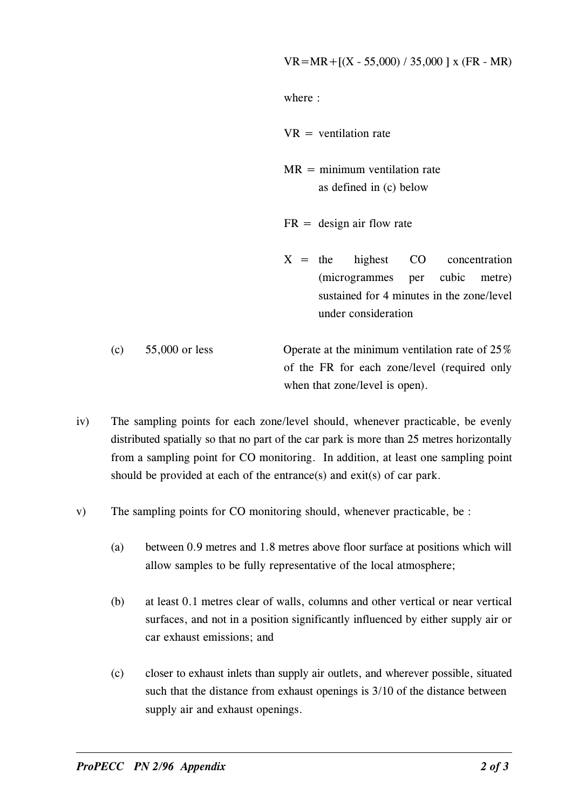where :

 $VR =$  ventilation rate

- $MR = \text{minimum}$  ventilation rate as defined in (c) below
- $FR =$  design air flow rate
- $X =$  the highest CO concentration (microgrammes per cubic metre) sustained for 4 minutes in the zone/level under consideration
- (c)  $55,000$  or less Operate at the minimum ventilation rate of  $25\%$ of the FR for each zone/level (required only when that zone/level is open).
- iv) The sampling points for each zone/level should, whenever practicable, be evenly distributed spatially so that no part of the car park is more than 25 metres horizontally from a sampling point for CO monitoring. In addition, at least one sampling point should be provided at each of the entrance(s) and exit(s) of car park.
- v) The sampling points for CO monitoring should, whenever practicable, be :
	- (a) between 0.9 metres and 1.8 metres above floor surface at positions which will allow samples to be fully representative of the local atmosphere;
	- (b) at least 0.1 metres clear of walls, columns and other vertical or near vertical surfaces, and not in a position significantly influenced by either supply air or car exhaust emissions; and
	- such that the distance from exhaust openings is 3/10 of the distance between (c) closer to exhaust inlets than supply air outlets, and wherever possible, situated supply air and exhaust openings.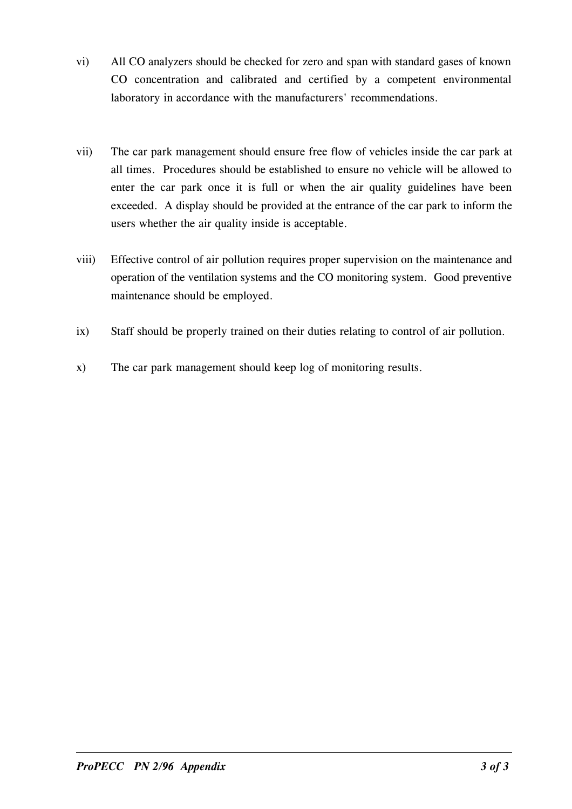- vi) All CO analyzers should be checked for zero and span with standard gases of known CO concentration and calibrated and certified by a competent environmental laboratory in accordance with the manufacturers' recommendations.
- exceeded. A display should be provided at the entrance of the car park to inform the vii) The car park management should ensure free flow of vehicles inside the car park at all times. Procedures should be established to ensure no vehicle will be allowed to enter the car park once it is full or when the air quality guidelines have been users whether the air quality inside is acceptable.
- viii) Effective control of air pollution requires proper supervision on the maintenance and operation of the ventilation systems and the CO monitoring system. Good preventive maintenance should be employed.
- ix) Staff should be properly trained on their duties relating to control of air pollution.
- x) The car park management should keep log of monitoring results.